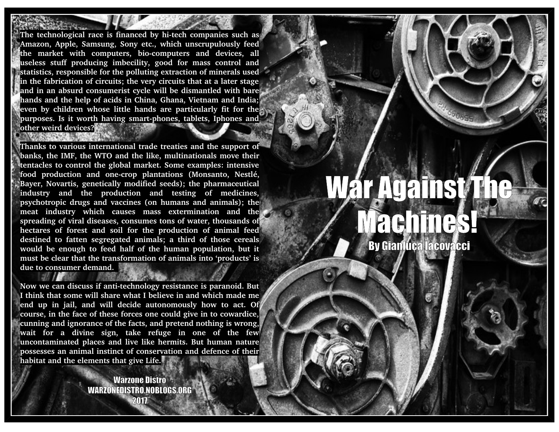The technological race is financed by hi-tech companies such as **Amazon, Apple, Samsung, Sony etc., which unscrupulously feed the market with computers, biocomputers and devices, all useless stuff producing imbecility, good for mass control and statistics, responsible for the polluting extraction of minerals used in the fabrication of circuits; the very circuits that at a later stage and in an absurd consumerist cycle will be dismantled with bare hands and the help of acids in China, Ghana, Vietnam and India; even by children whose little hands are particularly fit for the** purposes. Is it worth having smart-phones, tablets, Iphones and **other weird devices?**

**Thanks to various international trade treaties and the support of banks, the IMF, the WTO and the like, multinationals move their tentacles to control the global market. Some examples: intensive food production and onecrop plantations (Monsanto, Nestlé, Bayer, Novartis, genetically modified seeds); the pharmaceutical industry and the production and testing of medicines, psychotropic drugs and vaccines (on humans and animals); the meat industry which causes mass extermination and the spreading of viral diseases, consumes tons of water, thousands of** hectares of forest and soil for the production of animal feed **destined to fatten segregated animals; a third of those cereals would be enough to feed half of the human population, but it must be clear that the transformation of animals into 'products' is due to consumer demand.** 

Now we can discuss if anti-technology resistance is paranoid. But **I think that some will share what I believe in and which made me end up in jail, and will decide autonomously how to act. Of course, in the face of these forces one could give in to cowardice, cunning and ignorance of the facts, and pretend nothing is wrong, wait for a divine sign, take refuge in one of the few uncontaminated places and live like hermits. But human nature possesses an animal instinct of conservation and defence of their habitat and the elements that give Life.**

> Warzone Distro WARZONEDISTRO.NOBLOGS.ORG 2017

# War Against The Machines!

By Gianluca Iacovacci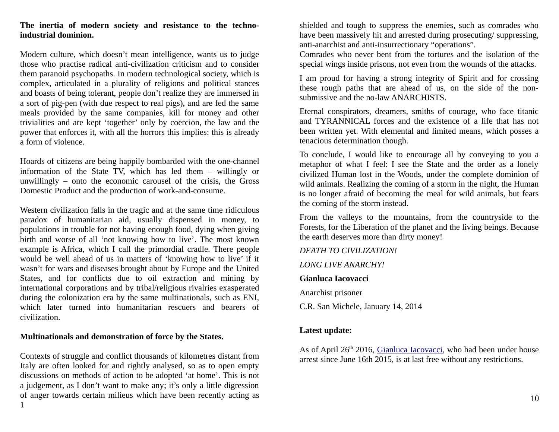### **The inertia of modern society and resistance to the technoindustrial dominion.**

Modern culture, which doesn't mean intelligence, wants us to judge those who practise radical anti-civilization criticism and to consider them paranoid psychopaths. In modern technological society, which is complex, articulated in a plurality of religions and political stances and boasts of being tolerant, people don't realize they are immersed in a sort of pig-pen (with due respect to real pigs), and are fed the same meals provided by the same companies, kill for money and other trivialities and are kept 'together' only by coercion, the law and the power that enforces it, with all the horrors this implies: this is already a form of violence.

Hoards of citizens are being happily bombarded with the one-channel information of the State TV, which has led them – willingly or unwillingly – onto the economic carousel of the crisis, the Gross Domestic Product and the production of work-and-consume.

Western civilization falls in the tragic and at the same time ridiculous paradox of humanitarian aid, usually dispensed in money, to populations in trouble for not having enough food, dying when giving birth and worse of all 'not knowing how to live'. The most known example is Africa, which I call the primordial cradle. There people would be well ahead of us in matters of 'knowing how to live' if it wasn't for wars and diseases brought about by Europe and the United States, and for conflicts due to oil extraction and mining by international corporations and by tribal/religious rivalries exasperated during the colonization era by the same multinationals, such as ENI, which later turned into humanitarian rescuers and bearers of civilization.

#### **Multinationals and demonstration of force by the States.**

Contexts of struggle and conflict thousands of kilometres distant from Italy are often looked for and rightly analysed, so as to open empty discussions on methods of action to be adopted 'at home'. This is not a judgement, as I don't want to make any; it's only a little digression of anger towards certain milieus which have been recently acting as 1 shielded and tough to suppress the enemies, such as comrades who have been massively hit and arrested during prosecuting/ suppressing, anti-anarchist and anti-insurrectionary "operations".

Comrades who never bent from the tortures and the isolation of the special wings inside prisons, not even from the wounds of the attacks.

I am proud for having a strong integrity of Spirit and for crossing these rough paths that are ahead of us, on the side of the nonsubmissive and the no-law ANARCHISTS.

Eternal conspirators, dreamers, smiths of courage, who face titanic and TYRANNICAL forces and the existence of a life that has not been written yet. With elemental and limited means, which posses a tenacious determination though.

To conclude, I would like to encourage all by conveying to you a metaphor of what I feel: I see the State and the order as a lonely civilized Human lost in the Woods, under the complete dominion of wild animals. Realizing the coming of a storm in the night, the Human is no longer afraid of becoming the meal for wild animals, but fears the coming of the storm instead.

From the valleys to the mountains, from the countryside to the Forests, for the Liberation of the planet and the living beings. Because the earth deserves more than dirty money!

*DEATH TO CIVILIZATION!*

*LONG LIVE ANARCHY!*

**Gianluca Iacovacci**

Anarchist prisoner

C.R. San Michele, January 14, 2014

#### **Latest update:**

As of April 26<sup>th</sup> 2016, [Gianluca Iacovacci,](http://325.nostate.net/?tag=gianluca-iacovacci) who had been under house arrest since June 16th 2015, is at last free without any restrictions.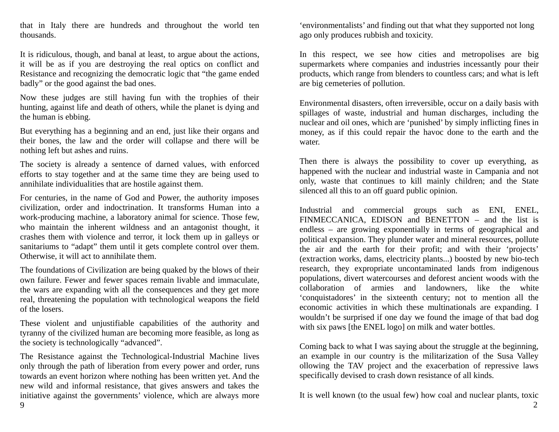that in Italy there are hundreds and throughout the world ten thousands.

It is ridiculous, though, and banal at least, to argue about the actions, it will be as if you are destroying the real optics on conflict and Resistance and recognizing the democratic logic that "the game ended badly" or the good against the bad ones.

Now these judges are still having fun with the trophies of their hunting, against life and death of others, while the planet is dying and the human is ebbing.

But everything has a beginning and an end, just like their organs and their bones, the law and the order will collapse and there will be nothing left but ashes and ruins.

The society is already a sentence of darned values, with enforced efforts to stay together and at the same time they are being used to annihilate individualities that are hostile against them.

For centuries, in the name of God and Power, the authority imposes civilization, order and indoctrination. It transforms Human into a work-producing machine, a laboratory animal for science. Those few, who maintain the inherent wildness and an antagonist thought, it crashes them with violence and terror, it lock them up in galleys or sanitariums to "adapt" them until it gets complete control over them. Otherwise, it will act to annihilate them.

The foundations of Civilization are being quaked by the blows of their own failure. Fewer and fewer spaces remain livable and immaculate, the wars are expanding with all the consequences and they get more real, threatening the population with technological weapons the field of the losers.

These violent and unjustifiable capabilities of the authority and tyranny of the civilized human are becoming more feasible, as long as the society is technologically "advanced".

The Resistance against the Technological-Industrial Machine lives only through the path of liberation from every power and order, runs towards an event horizon where nothing has been written yet. And the new wild and informal resistance, that gives answers and takes the initiative against the governments' violence, which are always more

'environmentalists' and finding out that what they supported not long ago only produces rubbish and toxicity.

In this respect, we see how cities and metropolises are big supermarkets where companies and industries incessantly pour their products, which range from blenders to countless cars; and what is left are big cemeteries of pollution.

Environmental disasters, often irreversible, occur on a daily basis with spillages of waste, industrial and human discharges, including the nuclear and oil ones, which are 'punished' by simply inflicting fines in money, as if this could repair the havoc done to the earth and the water.

Then there is always the possibility to cover up everything, as happened with the nuclear and industrial waste in Campania and not only, waste that continues to kill mainly children; and the State silenced all this to an off guard public opinion.

Industrial and commercial groups such as ENI, ENEL, FINMECCANICA, EDISON and BENETTON – and the list is endless – are growing exponentially in terms of geographical and political expansion. They plunder water and mineral resources, pollute the air and the earth for their profit; and with their 'projects' (extraction works, dams, electricity plants...) boosted by new bio-tech research, they expropriate uncontaminated lands from indigenous populations, divert watercourses and deforest ancient woods with the collaboration of armies and landowners, like the white 'conquistadores' in the sixteenth century; not to mention all the economic activities in which these multinationals are expanding. I wouldn't be surprised if one day we found the image of that bad dog with six paws [the ENEL logo] on milk and water bottles.

Coming back to what I was saying about the struggle at the beginning, an example in our country is the militarization of the Susa Valley ollowing the TAV project and the exacerbation of repressive laws specifically devised to crash down resistance of all kinds.

It is well known (to the usual few) how coal and nuclear plants, toxic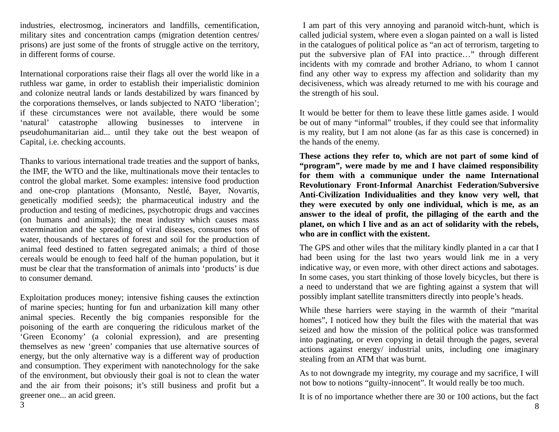industries, electrosmog, incinerators and landfills, cementification, military sites and concentration camps (migration detention centres/ prisons) are just some of the fronts of struggle active on the territory, in different forms of course.

International corporations raise their flags all over the world like in a ruthless war game, in order to establish their imperialistic dominion and colonize neutral lands or lands destabilized by wars financed by the corporations themselves, or lands subjected to NATO 'liberation'; if these circumstances were not available, there would be some 'natural' catastrophe allowing businesses to intervene in pseudohumanitarian aid... until they take out the best weapon of Capital, i.e. checking accounts.

Thanks to various international trade treaties and the support of banks, the IMF, the WTO and the like, multinationals move their tentacles to control the global market. Some examples: intensive food production and one-crop plantations (Monsanto, Nestlé, Bayer, Novartis, genetically modified seeds); the pharmaceutical industry and the production and testing of medicines, psychotropic drugs and vaccines (on humans and animals); the meat industry which causes mass extermination and the spreading of viral diseases, consumes tons of water, thousands of hectares of forest and soil for the production of animal feed destined to fatten segregated animals; a third of those cereals would be enough to feed half of the human population, but it must be clear that the transformation of animals into 'products' is due to consumer demand.

Exploitation produces money; intensive fishing causes the extinction of marine species; hunting for fun and urbanization kill many other animal species. Recently the big companies responsible for the poisoning of the earth are conquering the ridiculous market of the 'Green Economy' (a colonial expression), and are presenting themselves as new 'green' companies that use alternative sources of energy, but the only alternative way is a different way of production and consumption. They experiment with nanotechnology for the sake of the environment, but obviously their goal is not to clean the water and the air from their poisons; it's still business and profit but a greener one... an acid green.

 I am part of this very annoying and paranoid witch-hunt, which is called judicial system, where even a slogan painted on a wall is listed in the catalogues of political police as "an act of terrorism, targeting to put the subversive plan of FAI into practice…" through different incidents with my comrade and brother Adriano, to whom I cannot find any other way to express my affection and solidarity than my decisiveness, which was already returned to me with his courage and the strength of his soul.

It would be better for them to leave these little games aside. I would be out of many "informal" troubles, if they could see that informality is my reality, but I am not alone (as far as this case is concerned) in the hands of the enemy.

**These actions they refer to, which are not part of some kind of "program", were made by me and I have claimed responsibility for them with a communique under the name International Revolutionary Front-Informal Anarchist Federation/Subversive Anti-Civilization Individualities and they know very well, that they were executed by only one individual, which is me, as an answer to the ideal of profit, the pillaging of the earth and the planet, on which I live and as an act of solidarity with the rebels, who are in conflict with the existent.**

The GPS and other wiles that the military kindly planted in a car that I had been using for the last two years would link me in a very indicative way, or even more, with other direct actions and sabotages. In some cases, you start thinking of those lovely bicycles, but there is a need to understand that we are fighting against a system that will possibly implant satellite transmitters directly into people's heads.

While these harriers were staying in the warmth of their "marital homes", I noticed how they built the files with the material that was seized and how the mission of the political police was transformed into paginating, or even copying in detail through the pages, several actions against energy/ industrial units, including one imaginary stealing from an ATM that was burnt.

As to not downgrade my integrity, my courage and my sacrifice, I will not bow to notions "guilty-innocent". It would really be too much.

It is of no importance whether there are 30 or 100 actions, but the fact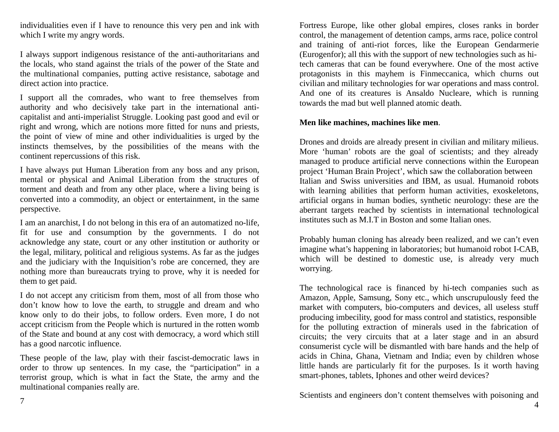individualities even if I have to renounce this very pen and ink with which I write my angry words.

I always support indigenous resistance of the anti-authoritarians and the locals, who stand against the trials of the power of the State and the multinational companies, putting active resistance, sabotage and direct action into practice.

I support all the comrades, who want to free themselves from authority and who decisively take part in the international anticapitalist and anti-imperialist Struggle. Looking past good and evil or right and wrong, which are notions more fitted for nuns and priests, the point of view of mine and other individualities is urged by the instincts themselves, by the possibilities of the means with the continent repercussions of this risk.

I have always put Human Liberation from any boss and any prison, mental or physical and Animal Liberation from the structures of torment and death and from any other place, where a living being is converted into a commodity, an object or entertainment, in the same perspective.

I am an anarchist, I do not belong in this era of an automatized no-life, fit for use and consumption by the governments. I do not acknowledge any state, court or any other institution or authority or the legal, military, political and religious systems. As far as the judges and the judiciary with the Inquisition's robe are concerned, they are nothing more than bureaucrats trying to prove, why it is needed for them to get paid.

I do not accept any criticism from them, most of all from those who don't know how to love the earth, to struggle and dream and who know only to do their jobs, to follow orders. Even more, I do not accept criticism from the People which is nurtured in the rotten womb of the State and bound at any cost with democracy, a word which still has a good narcotic influence.

These people of the law, play with their fascist-democratic laws in order to throw up sentences. In my case, the "participation" in a terrorist group, which is what in fact the State, the army and the multinational companies really are.

Fortress Europe, like other global empires, closes ranks in border control, the management of detention camps, arms race, police control and training of anti-riot forces, like the European Gendarmerie (Eurogenfor); all this with the support of new technologies such as hitech cameras that can be found everywhere. One of the most active protagonists in this mayhem is Finmeccanica, which churns out civilian and military technologies for war operations and mass control. And one of its creatures is Ansaldo Nucleare, which is running towards the mad but well planned atomic death.

#### **Men like machines, machines like men**.

Drones and droids are already present in civilian and military milieus. More 'human' robots are the goal of scientists; and they already managed to produce artificial nerve connections within the European project 'Human Brain Project', which saw the collaboration between Italian and Swiss universities and IBM, as usual. Humanoid robots with learning abilities that perform human activities, exoskeletons, artificial organs in human bodies, synthetic neurology: these are the aberrant targets reached by scientists in international technological institutes such as M.I.T in Boston and some Italian ones.

Probably human cloning has already been realized, and we can't even imagine what's happening in laboratories; but humanoid robot I-CAB, which will be destined to domestic use, is already very much worrying.

The technological race is financed by hi-tech companies such as Amazon, Apple, Samsung, Sony etc., which unscrupulously feed the market with computers, bio-computers and devices, all useless stuff producing imbecility, good for mass control and statistics, responsible for the polluting extraction of minerals used in the fabrication of circuits; the very circuits that at a later stage and in an absurd consumerist cycle will be dismantled with bare hands and the help of acids in China, Ghana, Vietnam and India; even by children whose little hands are particularly fit for the purposes. Is it worth having smart-phones, tablets, Iphones and other weird devices?

Scientists and engineers don't content themselves with poisoning and

 <sup>4</sup>